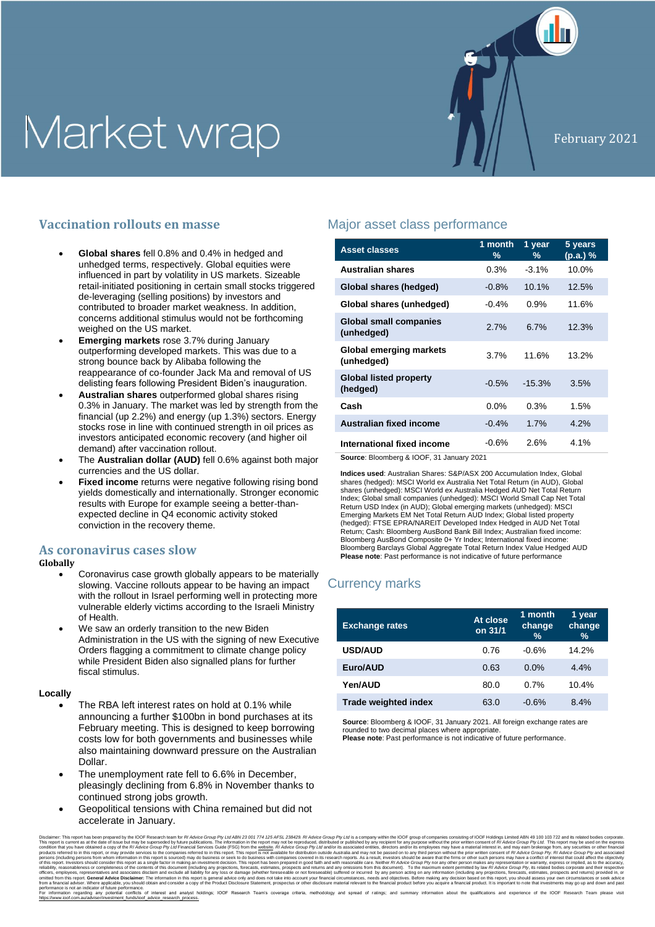# Market wrap

## **Vaccination rollouts en masse**

- **Global shares** fell 0.8% and 0.4% in hedged and unhedged terms, respectively. Global equities were influenced in part by volatility in US markets. Sizeable retail-initiated positioning in certain small stocks triggered de-leveraging (selling positions) by investors and contributed to broader market weakness. In addition, concerns additional stimulus would not be forthcoming weighed on the US market.
- **Emerging markets** rose 3.7% during January outperforming developed markets. This was due to a strong bounce back by Alibaba following the reappearance of co-founder Jack Ma and removal of US delisting fears following President Biden's inauguration.
- **Australian shares** outperformed global shares rising 0.3% in January. The market was led by strength from the financial (up 2.2%) and energy (up 1.3%) sectors. Energy stocks rose in line with continued strength in oil prices as investors anticipated economic recovery (and higher oil demand) after vaccination rollout.
- The **Australian dollar (AUD)** fell 0.6% against both major currencies and the US dollar.
- **Fixed income** returns were negative following rising bond yields domestically and internationally. Stronger economic results with Europe for example seeing a better-thanexpected decline in Q4 economic activity stoked conviction in the recovery theme.

## **As coronavirus cases slow**

#### **Globally**

- Coronavirus case growth globally appears to be materially slowing. Vaccine rollouts appear to be having an impact with the rollout in Israel performing well in protecting more vulnerable elderly victims according to the Israeli Ministry of Health.
- We saw an orderly transition to the new Biden Administration in the US with the signing of new Executive Orders flagging a commitment to climate change policy while President Biden also signalled plans for further fiscal stimulus.

#### **Locally**

- The RBA left interest rates on hold at 0.1% while announcing a further \$100bn in bond purchases at its February meeting. This is designed to keep borrowing costs low for both governments and businesses while also maintaining downward pressure on the Australian Dollar.
- The unemployment rate fell to 6.6% in December, pleasingly declining from 6.8% in November thanks to continued strong jobs growth.
- Geopolitical tensions with China remained but did not accelerate in January.

## Major asset class performance

| <b>Asset classes</b>                        | 1 month<br>% | 1 year<br>% | 5 years<br>(p.a.)% |
|---------------------------------------------|--------------|-------------|--------------------|
| <b>Australian shares</b>                    | 0.3%         | $-3.1\%$    | 10.0%              |
| Global shares (hedged)                      | $-0.8%$      | 10.1%       | 12.5%              |
| Global shares (unhedged)                    | $-0.4\%$     | $0.9\%$     | 11.6%              |
| <b>Global small companies</b><br>(unhedged) | 2.7%         | 6.7%        | 12.3%              |
| Global emerging markets<br>(unhedged)       | 3.7%         | 11.6%       | 13.2%              |
| <b>Global listed property</b><br>(hedged)   | $-0.5%$      | $-15.3%$    | 3.5%               |
| Cash                                        | $0.0\%$      | 0.3%        | 1.5%               |
| <b>Australian fixed income</b>              | $-0.4%$      | 1.7%        | 4.2%               |
| International fixed income                  | $-0.6%$      | 2.6%        | 4.1%               |

February 2021

**Source**: Bloomberg & IOOF, 31 January 2021

**Indices used**: Australian Shares: S&P/ASX 200 Accumulation Index, Global shares (hedged): MSCI World ex Australia Net Total Return (in AUD), Global shares (unhedged): MSCI World ex Australia Hedged AUD Net Total Return<br>Index; Global small companies (unhedged): MSCI World Small Cap Net Total<br>Return USD Index (in AUD); Global emerging markets (unhedged): MSCI Emerging Markets EM Net Total Return AUD Index; Global listed property (hedged): FTSE EPRA/NAREIT Developed Index Hedged in AUD Net Total Return; Cash: Bloomberg AusBond Bank Bill Index; Australian fixed income: Bloomberg AusBond Composite 0+ Yr Index; International fixed income: Bloomberg Barclays Global Aggregate Total Return Index Value Hedged AUD **Please note**: Past performance is not indicative of future performance

## Currency marks

| <b>Exchange rates</b>       | At close<br>on 31/1 | 1 month<br>change<br>$\frac{0}{0}$ | 1 year<br>change<br>$\frac{9}{6}$ |
|-----------------------------|---------------------|------------------------------------|-----------------------------------|
| <b>USD/AUD</b>              | 0.76                | $-0.6%$                            | 14.2%                             |
| Euro/AUD                    | 0.63                | $0.0\%$                            | 4.4%                              |
| Yen/AUD                     | 80.0                | 0.7%                               | 10.4%                             |
| <b>Trade weighted index</b> | 63.0                | $-0.6%$                            | 8.4%                              |

**Source**: Bloomberg & IOOF, 31 January 2021. All foreign exchange rates are rounded to two decimal places where appropriate.

**Please note**: Past performance is not indicative of future performance.

thas been prepared by the IOOF Research team for RI Advice Group Py Ltd ABN 23001774 125 AFSL 238429. RI Advice Group Py Ltd is a company within the IOOF group of companies consisting of IOOF Holdings Limited ABN 49 100 10 This report is current as at the date of sou but may be superseded by future publications. The information in the report may not be reported to may be used to enter financial Services Guide (FSG) form the regates and Advic offlices, employes, representatives and associates disclimited and excludie all liability for any loss or damage (whether foreseable or not freeseable) or more presentative comes to all liability for any information incell